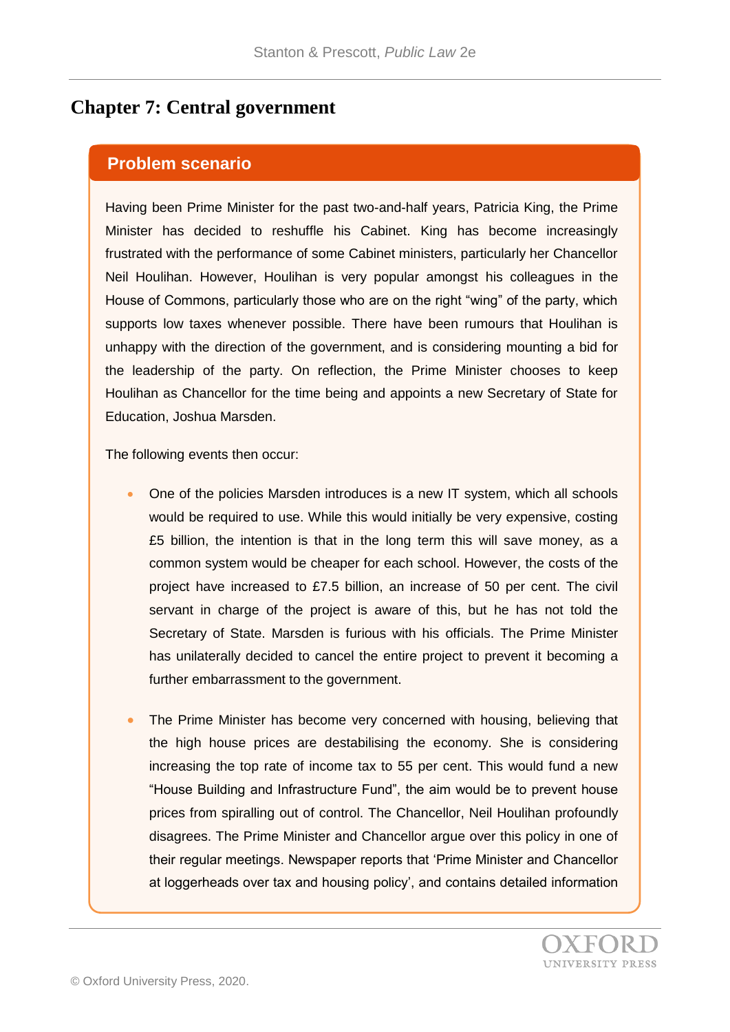## **Chapter 7: Central government**

## **Problem scenario**

Having been Prime Minister for the past two-and-half years, Patricia King, the Prime Minister has decided to reshuffle his Cabinet. King has become increasingly frustrated with the performance of some Cabinet ministers, particularly her Chancellor Neil Houlihan. However, Houlihan is very popular amongst his colleagues in the House of Commons, particularly those who are on the right "wing" of the party, which supports low taxes whenever possible. There have been rumours that Houlihan is unhappy with the direction of the government, and is considering mounting a bid for the leadership of the party. On reflection, the Prime Minister chooses to keep Houlihan as Chancellor for the time being and appoints a new Secretary of State for Education, Joshua Marsden.

The following events then occur:

- One of the policies Marsden introduces is a new IT system, which all schools would be required to use. While this would initially be very expensive, costing £5 billion, the intention is that in the long term this will save money, as a common system would be cheaper for each school. However, the costs of the project have increased to £7.5 billion, an increase of 50 per cent. The civil servant in charge of the project is aware of this, but he has not told the Secretary of State. Marsden is furious with his officials. The Prime Minister has unilaterally decided to cancel the entire project to prevent it becoming a further embarrassment to the government.
- The Prime Minister has become very concerned with housing, believing that the high house prices are destabilising the economy. She is considering increasing the top rate of income tax to 55 per cent. This would fund a new "House Building and Infrastructure Fund", the aim would be to prevent house prices from spiralling out of control. The Chancellor, Neil Houlihan profoundly disagrees. The Prime Minister and Chancellor argue over this policy in one of their regular meetings. Newspaper reports that 'Prime Minister and Chancellor at loggerheads over tax and housing policy', and contains detailed information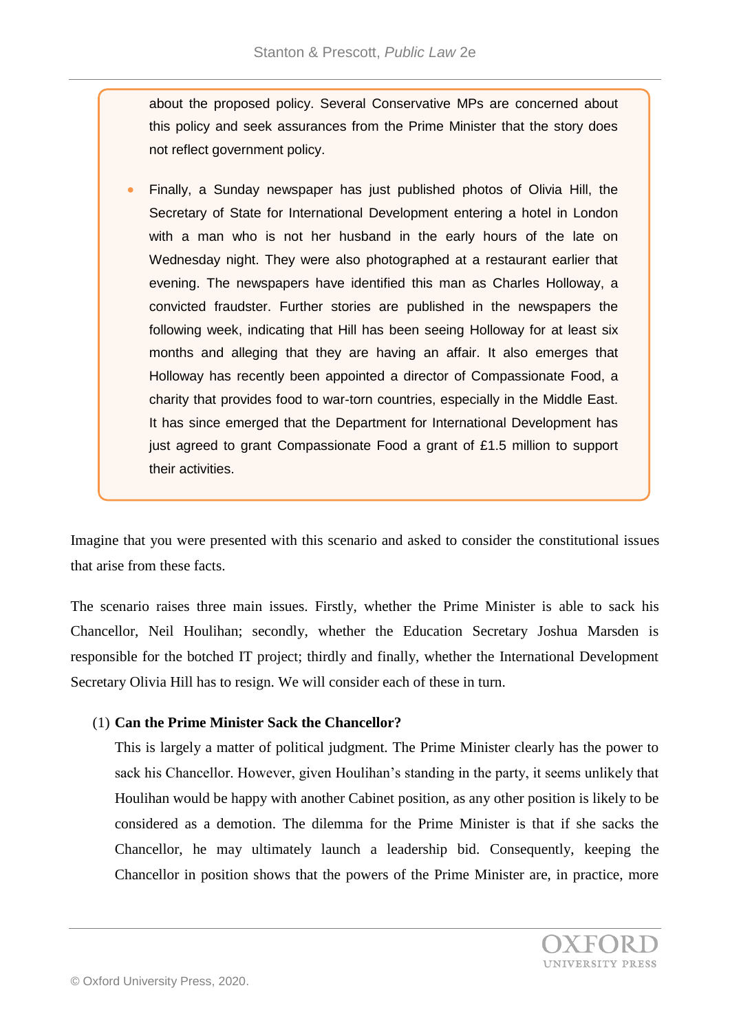about the proposed policy. Several Conservative MPs are concerned about this policy and seek assurances from the Prime Minister that the story does not reflect government policy.

 Finally, a Sunday newspaper has just published photos of Olivia Hill, the Secretary of State for International Development entering a hotel in London with a man who is not her husband in the early hours of the late on Wednesday night. They were also photographed at a restaurant earlier that evening. The newspapers have identified this man as Charles Holloway, a convicted fraudster. Further stories are published in the newspapers the following week, indicating that Hill has been seeing Holloway for at least six months and alleging that they are having an affair. It also emerges that Holloway has recently been appointed a director of Compassionate Food, a charity that provides food to war-torn countries, especially in the Middle East. It has since emerged that the Department for International Development has just agreed to grant Compassionate Food a grant of £1.5 million to support their activities.

Imagine that you were presented with this scenario and asked to consider the constitutional issues that arise from these facts.

The scenario raises three main issues. Firstly, whether the Prime Minister is able to sack his Chancellor, Neil Houlihan; secondly, whether the Education Secretary Joshua Marsden is responsible for the botched IT project; thirdly and finally, whether the International Development Secretary Olivia Hill has to resign. We will consider each of these in turn.

## (1) **Can the Prime Minister Sack the Chancellor?**

This is largely a matter of political judgment. The Prime Minister clearly has the power to sack his Chancellor. However, given Houlihan's standing in the party, it seems unlikely that Houlihan would be happy with another Cabinet position, as any other position is likely to be considered as a demotion. The dilemma for the Prime Minister is that if she sacks the Chancellor, he may ultimately launch a leadership bid. Consequently, keeping the Chancellor in position shows that the powers of the Prime Minister are, in practice, more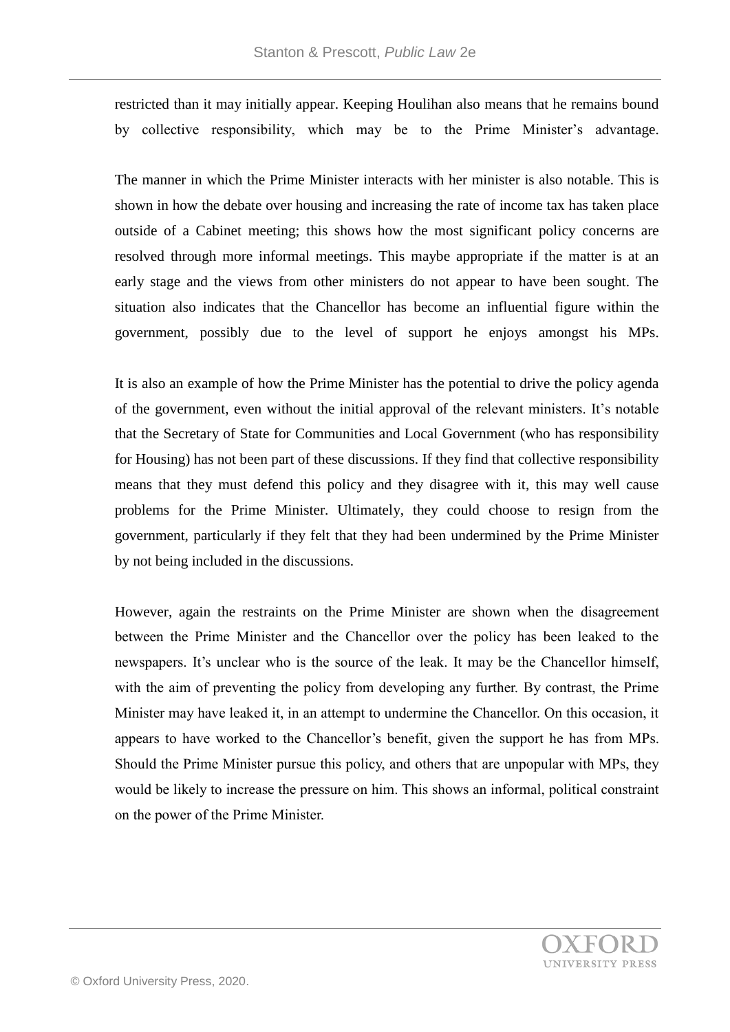restricted than it may initially appear. Keeping Houlihan also means that he remains bound by collective responsibility, which may be to the Prime Minister's advantage.

The manner in which the Prime Minister interacts with her minister is also notable. This is shown in how the debate over housing and increasing the rate of income tax has taken place outside of a Cabinet meeting; this shows how the most significant policy concerns are resolved through more informal meetings. This maybe appropriate if the matter is at an early stage and the views from other ministers do not appear to have been sought. The situation also indicates that the Chancellor has become an influential figure within the government, possibly due to the level of support he enjoys amongst his MPs.

It is also an example of how the Prime Minister has the potential to drive the policy agenda of the government, even without the initial approval of the relevant ministers. It's notable that the Secretary of State for Communities and Local Government (who has responsibility for Housing) has not been part of these discussions. If they find that collective responsibility means that they must defend this policy and they disagree with it, this may well cause problems for the Prime Minister. Ultimately, they could choose to resign from the government, particularly if they felt that they had been undermined by the Prime Minister by not being included in the discussions.

However, again the restraints on the Prime Minister are shown when the disagreement between the Prime Minister and the Chancellor over the policy has been leaked to the newspapers. It's unclear who is the source of the leak. It may be the Chancellor himself, with the aim of preventing the policy from developing any further. By contrast, the Prime Minister may have leaked it, in an attempt to undermine the Chancellor. On this occasion, it appears to have worked to the Chancellor's benefit, given the support he has from MPs. Should the Prime Minister pursue this policy, and others that are unpopular with MPs, they would be likely to increase the pressure on him. This shows an informal, political constraint on the power of the Prime Minister.

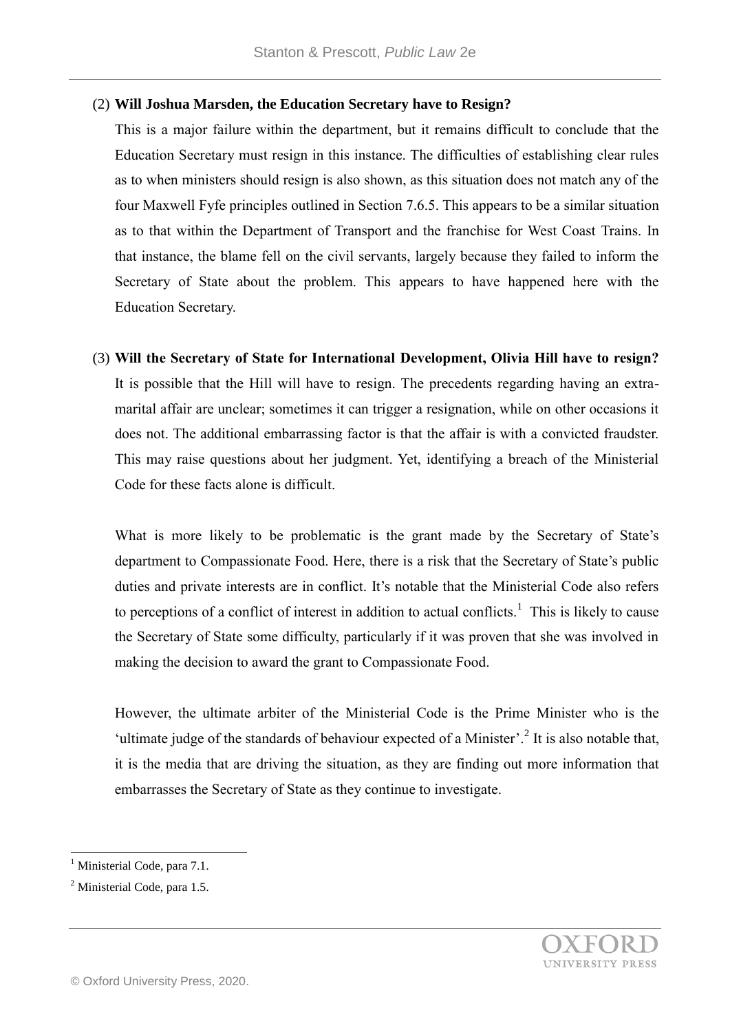## (2) **Will Joshua Marsden, the Education Secretary have to Resign?**

This is a major failure within the department, but it remains difficult to conclude that the Education Secretary must resign in this instance. The difficulties of establishing clear rules as to when ministers should resign is also shown, as this situation does not match any of the four Maxwell Fyfe principles outlined in Section 7.6.5. This appears to be a similar situation as to that within the Department of Transport and the franchise for West Coast Trains. In that instance, the blame fell on the civil servants, largely because they failed to inform the Secretary of State about the problem. This appears to have happened here with the Education Secretary.

(3) **Will the Secretary of State for International Development, Olivia Hill have to resign?** It is possible that the Hill will have to resign. The precedents regarding having an extramarital affair are unclear; sometimes it can trigger a resignation, while on other occasions it does not. The additional embarrassing factor is that the affair is with a convicted fraudster. This may raise questions about her judgment. Yet, identifying a breach of the Ministerial Code for these facts alone is difficult.

What is more likely to be problematic is the grant made by the Secretary of State's department to Compassionate Food. Here, there is a risk that the Secretary of State's public duties and private interests are in conflict. It's notable that the Ministerial Code also refers to perceptions of a conflict of interest in addition to actual conflicts.<sup>1</sup> This is likely to cause the Secretary of State some difficulty, particularly if it was proven that she was involved in making the decision to award the grant to Compassionate Food.

However, the ultimate arbiter of the Ministerial Code is the Prime Minister who is the 'ultimate judge of the standards of behaviour expected of a Minister'.<sup>2</sup> It is also notable that, it is the media that are driving the situation, as they are finding out more information that embarrasses the Secretary of State as they continue to investigate.

l

<sup>&</sup>lt;sup>1</sup> Ministerial Code, para 7.1.

<sup>2</sup> Ministerial Code, para 1.5.